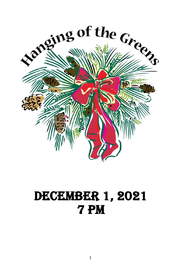

# DECEMBER 1, 2021 7 PM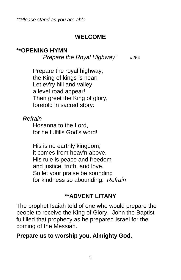*\*\*Please stand as you are able*

## **WELCOME**

#### **\*\*OPENING HYMN**

*"Prepare the Royal Highway"* #264

Prepare the royal highway; the King of kings is near! Let ev'ry hill and valley a level road appear! Then greet the King of glory, foretold in sacred story:

*Refrain*

Hosanna to the Lord, for he fulfills God's word!

His is no earthly kingdom; it comes from heav'n above. His rule is peace and freedom and justice, truth, and love. So let your praise be sounding for kindness so abounding: *Refrain*

#### **\*\*ADVENT LITANY**

The prophet Isaiah told of one who would prepare the people to receive the King of Glory. John the Baptist fulfilled that prophecy as he prepared Israel for the coming of the Messiah.

#### **Prepare us to worship you, Almighty God.**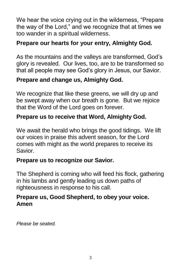We hear the voice crying out in the wilderness, "Prepare the way of the Lord," and we recognize that at times we too wander in a spiritual wilderness.

## **Prepare our hearts for your entry, Almighty God.**

As the mountains and the valleys are transformed, God's glory is revealed. Our lives, too, are to be transformed so that all people may see God's glory in Jesus, our Savior.

## **Prepare and change us, Almighty God.**

We recognize that like these greens, we will dry up and be swept away when our breath is gone. But we rejoice that the Word of the Lord goes on forever.

## **Prepare us to receive that Word, Almighty God.**

We await the herald who brings the good tidings. We lift our voices in praise this advent season, for the Lord comes with might as the world prepares to receive its Savior.

## **Prepare us to recognize our Savior.**

The Shepherd is coming who will feed his flock, gathering in his lambs and gently leading us down paths of righteousness in response to his call.

#### **Prepare us, Good Shepherd, to obey your voice. Amen**

*Please be seated.*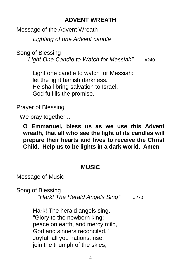## **ADVENT WREATH**

Message of the Advent Wreath

*Lighting of one Advent candle* 

Song of Blessing

"Light One Candle to Watch for Messiah" #240

Light one candle to watch for Messiah: let the light banish darkness. He shall bring salvation to Israel, God fulfills the promise.

Prayer of Blessing

We pray together ...

**O Emmanuel, bless us as we use this Advent wreath, that all who see the light of its candles will prepare their hearts and lives to receive the Christ Child. Help us to be lights in a dark world. Amen**

#### **MUSIC**

Message of Music

Song of Blessing *"Hark! The Herald Angels Sing"* #270

> Hark! The herald angels sing, "Glory to the newborn king; peace on earth, and mercy mild, God and sinners reconciled." Joyful, all you nations, rise; join the triumph of the skies;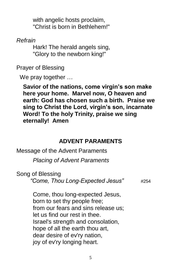with angelic hosts proclaim, "Christ is born in Bethlehem!"

*Refrain*

Hark! The herald angels sing, "Glory to the newborn king!"

Prayer of Blessing

We pray together …

**Savior of the nations, come virgin's son make here your home. Marvel now, O heaven and earth: God has chosen such a birth. Praise we sing to Christ the Lord, virgin's son, incarnate Word! To the holy Trinity, praise we sing eternally! Amen**

## **ADVENT PARAMENTS**

Message of the Advent Paraments

*Placing of Advent Paraments*

Song of Blessing

*"Come, Thou Long-Expected Jesus"* #254

Come, thou long-expected Jesus, born to set thy people free; from our fears and sins release us; let us find our rest in thee. Israel's strength and consolation, hope of all the earth thou art, dear desire of ev'ry nation, joy of ev'ry longing heart.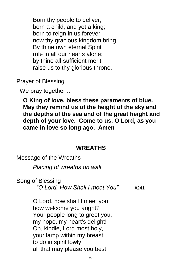Born thy people to deliver, born a child, and yet a king; born to reign in us forever, now thy gracious kingdom bring. By thine own eternal Spirit rule in all our hearts alone; by thine all-sufficient merit raise us to thy glorious throne.

Prayer of Blessing

We pray together ...

**O King of love, bless these paraments of blue. May they remind us of the height of the sky and the depths of the sea and of the great height and depth of your love. Come to us, O Lord, as you came in love so long ago. Amen**

#### **WREATHS**

Message of the Wreaths

*Placing of wreaths on wall*

Song of Blessing

*"O Lord, How Shall I meet You"* #241

O Lord, how shall I meet you, how welcome you aright? Your people long to greet you, my hope, my heart's delight! Oh, kindle, Lord most holy, your lamp within my breast to do in spirit lowly all that may please you best.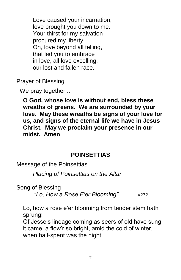Love caused your incarnation; love brought you down to me. Your thirst for my salvation procured my liberty. Oh, love beyond all telling, that led you to embrace in love, all love excelling, our lost and fallen race.

Prayer of Blessing

We pray together ...

**O God, whose love is without end, bless these wreaths of greens. We are surrounded by your love. May these wreaths be signs of your love for us, and signs of the eternal life we have in Jesus Christ. May we proclaim your presence in our midst. Amen**

#### **POINSETTIAS**

Message of the Poinsettias

*Placing of Poinsettias on the Altar*

Song of Blessing

*"Lo, How a Rose E'er Blooming"* #272

Lo, how a rose e'er blooming from tender stem hath sprung!

Of Jesse's lineage coming as seers of old have sung, it came, a flow'r so bright, amid the cold of winter, when half-spent was the night.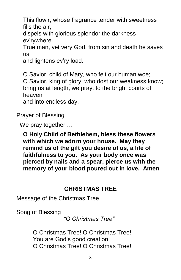This flow'r, whose fragrance tender with sweetness fills the air,

dispels with glorious splendor the darkness ev'rywhere.

True man, yet very God, from sin and death he saves us

and lightens ev'ry load.

O Savior, child of Mary, who felt our human woe; O Savior, king of glory, who dost our weakness know; bring us at length, we pray, to the bright courts of heaven and into endless day.

Prayer of Blessing

We pray together …

**O Holy Child of Bethlehem, bless these flowers with which we adorn your house. May they remind us of the gift you desire of us, a life of faithfulness to you. As your body once was pierced by nails and a spear, pierce us with the memory of your blood poured out in love. Amen**

## **CHRISTMAS TREE**

Message of the Christmas Tree

Song of Blessing

*"O Christmas Tree"*

O Christmas Tree! O Christmas Tree! You are God's good creation. O Christmas Tree! O Christmas Tree!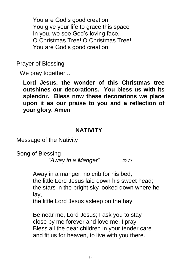You are God's good creation. You give your life to grace this space In you, we see God's loving face. O Christmas Tree! O Christmas Tree! You are God's good creation.

Prayer of Blessing

We pray together ...

**Lord Jesus, the wonder of this Christmas tree outshines our decorations. You bless us with its splendor. Bless now these decorations we place upon it as our praise to you and a reflection of your glory. Amen**

#### **NATIVITY**

Message of the Nativity

Song of Blessing *"Away in a Manger"* #277

> Away in a manger, no crib for his bed, the little Lord Jesus laid down his sweet head; the stars in the bright sky looked down where he lay,

the little Lord Jesus asleep on the hay.

Be near me, Lord Jesus; I ask you to stay close by me forever and love me, I pray. Bless all the dear children in your tender care and fit us for heaven, to live with you there.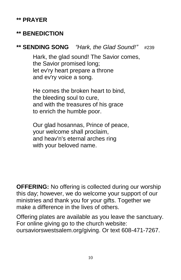#### **\*\* BENEDICTION**

#### **\*\* SENDING SONG** *"Hark, the Glad Sound!"* #239

Hark, the glad sound! The Savior comes, the Savior promised long; let ev'ry heart prepare a throne and ev'ry voice a song.

He comes the broken heart to bind, the bleeding soul to cure, and with the treasures of his grace to enrich the humble poor.

Our glad hosannas, Prince of peace, your welcome shall proclaim, and heav'n's eternal arches ring with your beloved name.

**OFFERING:** No offering is collected during our worship this day; however, we do welcome your support of our ministries and thank you for your gifts. Together we make a difference in the lives of others.

Offering plates are available as you leave the sanctuary. For online giving go to the church website: oursaviorswestsalem.org/giving. Or text 608-471-7267.